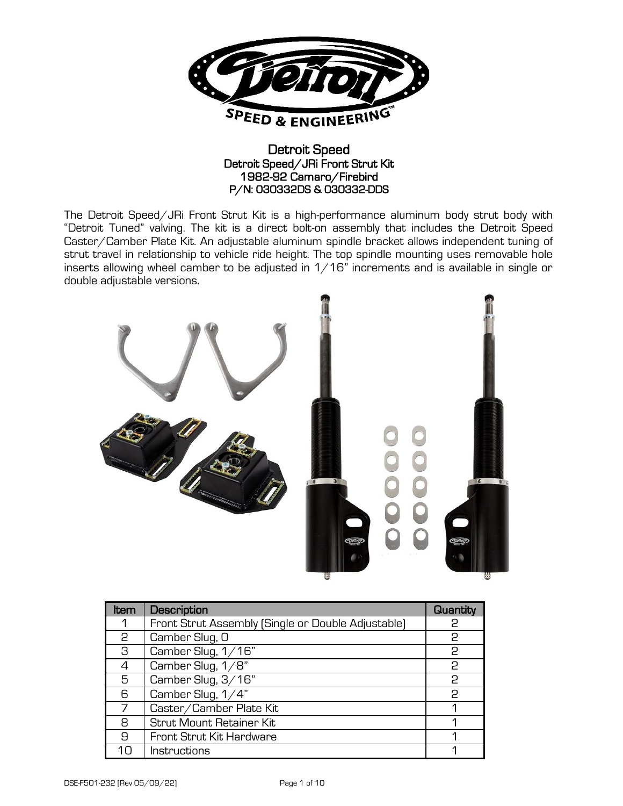

## Detroit Speed Detroit Speed/JRi Front Strut Kit 1982-92 Camaro/Firebird P/N: 030332DS & 030332-DDS

The Detroit Speed/JRi Front Strut Kit is a high-performance aluminum body strut body with "Detroit Tuned" valving. The kit is a direct bolt-on assembly that includes the Detroit Speed Caster/Camber Plate Kit. An adjustable aluminum spindle bracket allows independent tuning of strut travel in relationship to vehicle ride height. The top spindle mounting uses removable hole inserts allowing wheel camber to be adjusted in  $1/16$ " increments and is available in single or double adjustable versions.



| Item | Description                                        | Quantity |
|------|----------------------------------------------------|----------|
|      | Front Strut Assembly (Single or Double Adjustable) | P        |
| 2    | Camber Slug, O                                     | 2        |
| З    | Camber Slug, $1/16$ "                              | 2        |
| 4    | Camber Slug, 1/8"                                  | 2        |
| 5    | Camber Slug, 3/16"                                 | 2        |
| 6    | Camber Slug, 1/4"                                  | 2        |
|      | Caster/Camber Plate Kit                            |          |
| 8    | Strut Mount Retainer Kit                           |          |
| 9    | Front Strut Kit Hardware                           |          |
| 1Π   | Instructions                                       |          |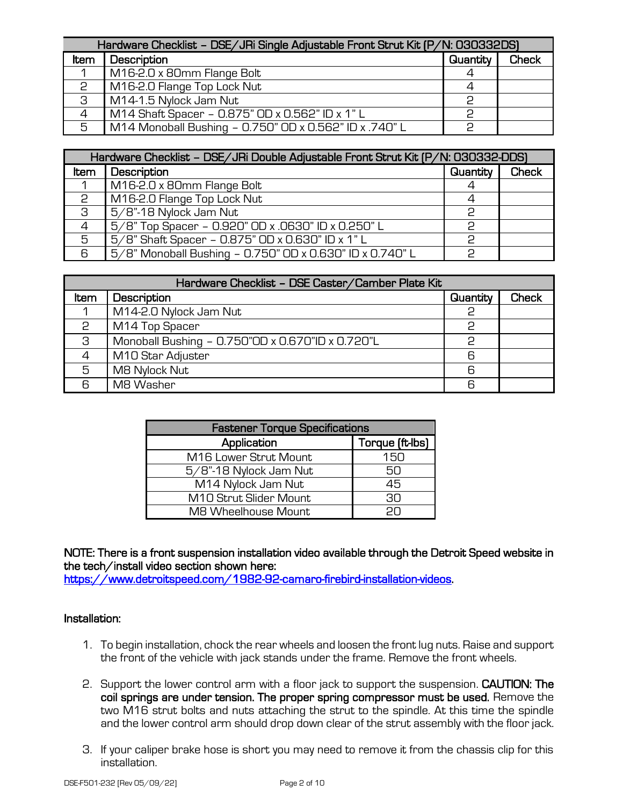| Hardware Checklist - DSE/JRi Single Adjustable Front Strut Kit (P/N: 030332DS) |                                                        |          |              |
|--------------------------------------------------------------------------------|--------------------------------------------------------|----------|--------------|
| Item                                                                           | Description                                            | Quantity | <b>Check</b> |
|                                                                                | M16-2.0 x 80mm Flange Bolt                             | 4        |              |
| 2                                                                              | M16-2.0 Flange Top Lock Nut                            | 4        |              |
| -3                                                                             | M14-1.5 Nylock Jam Nut                                 |          |              |
| $\overline{4}$                                                                 | M14 Shaft Spacer - 0.875" OD x 0.562" ID x 1" L        | っ        |              |
| -5                                                                             | M14 Monoball Bushing - 0.750" OD x 0.562" ID x .740" L | っ        |              |

| Hardware Checklist - DSE/JRi Double Adjustable Front Strut Kit (P/N: 030332-DDS) |                                                          |          |              |
|----------------------------------------------------------------------------------|----------------------------------------------------------|----------|--------------|
| Item                                                                             | Description                                              | Quantity | <b>Check</b> |
|                                                                                  | M16-2.0 x 80mm Flange Bolt                               |          |              |
| P                                                                                | M16-2.0 Flange Top Lock Nut                              | 4        |              |
| -3                                                                               | 5/8"-18 Nylock Jam Nut                                   | င္       |              |
|                                                                                  | 5/8" Top Spacer - 0.920" OD x .0630" ID x 0.250" L       | っ        |              |
| 5                                                                                | 5/8" Shaft Spacer - 0.875" OD x 0.630" ID x 1" L         | င        |              |
| 6                                                                                | 5/8" Monoball Bushing - 0.750" OD x 0.630" ID x 0.740" L | っ        |              |

| Hardware Checklist - DSE Caster/Camber Plate Kit |                                                  |          |              |
|--------------------------------------------------|--------------------------------------------------|----------|--------------|
| Item                                             | Description                                      | Quantity | <b>Check</b> |
|                                                  | M14-2.0 Nylock Jam Nut                           | 2        |              |
| 2                                                | M14 Top Spacer                                   | P        |              |
| З                                                | Monoball Bushing - 0.750"OD x 0.670"ID x 0.720"L | င္       |              |
| 4                                                | M10 Star Adjuster                                | 6        |              |
| 5                                                | M8 Nylock Nut                                    | 6        |              |
| 6                                                | M8 Washer                                        | 6        |              |

| <b>Fastener Torque Specifications</b> |                 |  |
|---------------------------------------|-----------------|--|
| Application                           | Torque (ft-lbs) |  |
| M16 Lower Strut Mount                 | 150             |  |
| 5/8"-18 Nylock Jam Nut                | ה5              |  |
| M14 Nylock Jam Nut                    | 45              |  |
| M10 Strut Slider Mount                | 30              |  |
| M8 Wheelhouse Mount                   | חכ              |  |

NOTE: There is a front suspension installation video available through the Detroit Speed website in the tech/install video section shown here:

[https://www.detroitspeed.com/1982-92-camaro-firebird-installation-videos.](https://www.detroitspeed.com/1982-92-camaro-firebird-installation-videos)

## Installation:

- 1. To begin installation, chock the rear wheels and loosen the front lug nuts. Raise and support the front of the vehicle with jack stands under the frame. Remove the front wheels.
- 2. Support the lower control arm with a floor jack to support the suspension. CAUTION: The coil springs are under tension. The proper spring compressor must be used. Remove the two M16 strut bolts and nuts attaching the strut to the spindle. At this time the spindle and the lower control arm should drop down clear of the strut assembly with the floor jack.
- 3. If your caliper brake hose is short you may need to remove it from the chassis clip for this installation.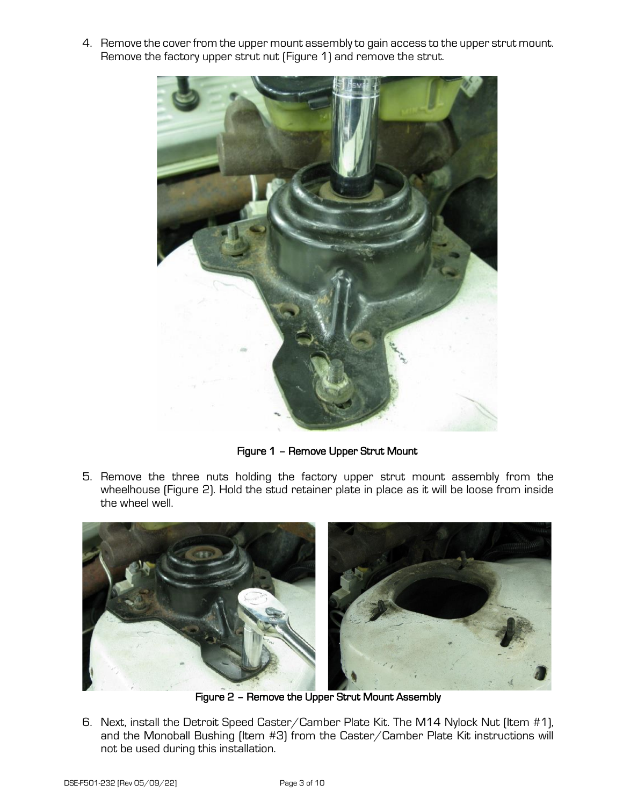4. Remove the cover from the upper mount assembly to gain access to the upper strut mount. Remove the factory upper strut nut (Figure 1) and remove the strut.



Figure 1 – Remove Upper Strut Mount

5. Remove the three nuts holding the factory upper strut mount assembly from the wheelhouse (Figure 2). Hold the stud retainer plate in place as it will be loose from inside the wheel well.



Figure 2 – Remove the Upper Strut Mount Assembly

6. Next, install the Detroit Speed Caster/Camber Plate Kit. The M14 Nylock Nut (Item #1), and the Monoball Bushing (Item #3) from the Caster/Camber Plate Kit instructions will not be used during this installation.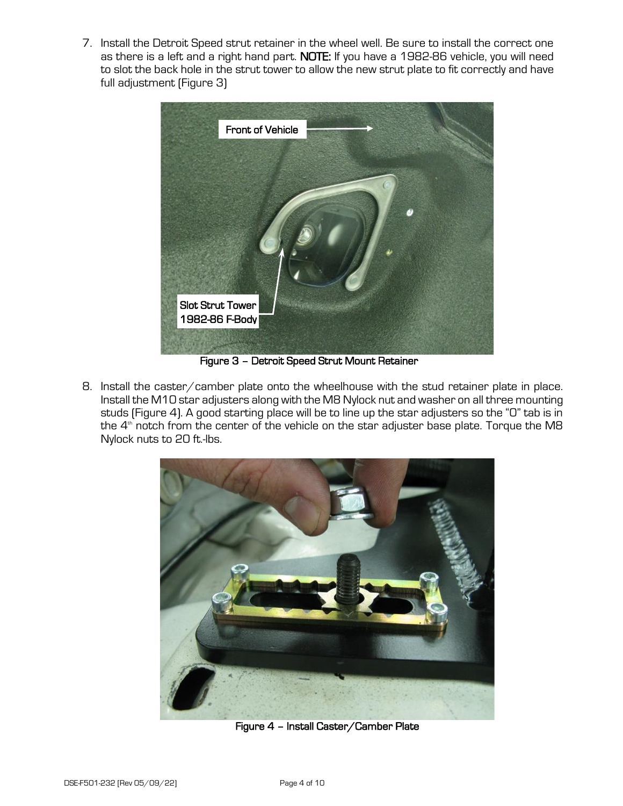7. Install the Detroit Speed strut retainer in the wheel well. Be sure to install the correct one as there is a left and a right hand part. NOTE: If you have a 1982-86 vehicle, you will need to slot the back hole in the strut tower to allow the new strut plate to fit correctly and have full adjustment (Figure 3)



Figure 3 – Detroit Speed Strut Mount Retainer

8. Install the caster/camber plate onto the wheelhouse with the stud retainer plate in place. Install the M10 star adjusters along with the M8 Nylock nut and washer on all three mounting studs (Figure 4). A good starting place will be to line up the star adjusters so the "0" tab is in the  $4<sup>th</sup>$  notch from the center of the vehicle on the star adjuster base plate. Torque the M8 Nylock nuts to 20 ft.-lbs.



Figure 4 – Install Caster/Camber Plate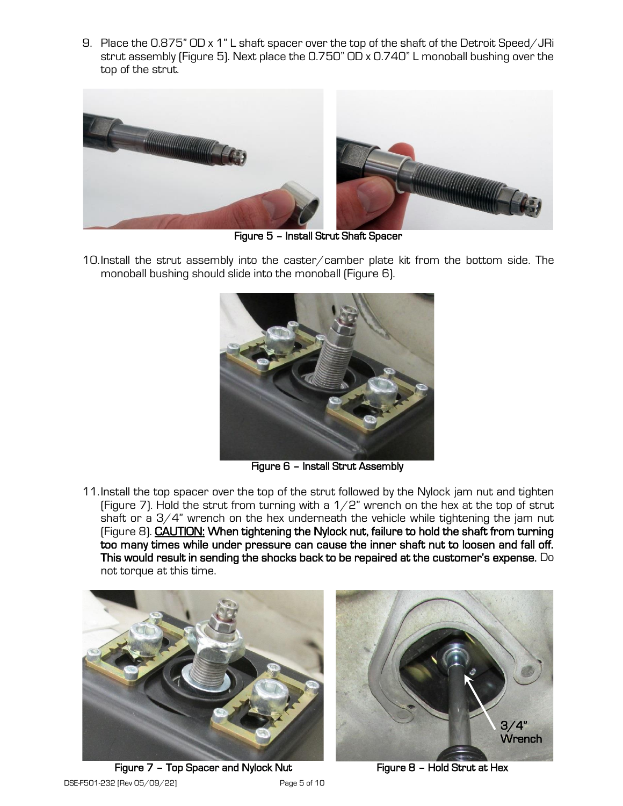9. Place the 0.875" OD x 1" L shaft spacer over the top of the shaft of the Detroit Speed/JRi strut assembly (Figure 5). Next place the 0.750" OD x 0.740" L monoball bushing over the top of the strut.



Figure 5 – Install Strut Shaft Spacer

10.Install the strut assembly into the caster/camber plate kit from the bottom side. The monoball bushing should slide into the monoball (Figure 6).



Figure 6 – Install Strut Assembly

11.Install the top spacer over the top of the strut followed by the Nylock jam nut and tighten (Figure 7). Hold the strut from turning with a  $1/2$ " wrench on the hex at the top of strut shaft or a  $3/4$ " wrench on the hex underneath the vehicle while tightening the jam nut (Figure 8). CAUTION: When tightening the Nylock nut, failure to hold the shaft from turning too many times while under pressure can cause the inner shaft nut to loosen and fall off. This would result in sending the shocks back to be repaired at the customer's expense. Do not torque at this time.





DSE-F501-232 [Rev 05/09/22] Page 5 of 10 Figure 7 - Top Spacer and Nylock Nut Figure 8 - Hold Strut at Hex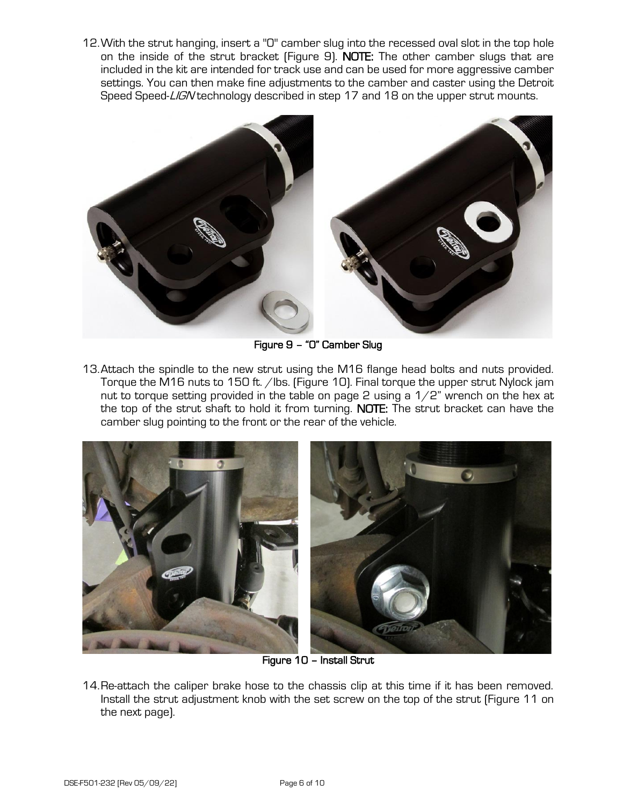12.With the strut hanging, insert a "0" camber slug into the recessed oval slot in the top hole on the inside of the strut bracket (Figure 9). NOTE: The other camber slugs that are included in the kit are intended for track use and can be used for more aggressive camber settings. You can then make fine adjustments to the camber and caster using the Detroit Speed Speed-LIGN technology described in step 17 and 18 on the upper strut mounts.



Figure 9 – "0" Camber Slug

13.Attach the spindle to the new strut using the M16 flange head bolts and nuts provided. Torque the M16 nuts to 150 ft. /lbs. (Figure 10). Final torque the upper strut Nylock jam nut to torque setting provided in the table on page 2 using a  $1/2$ " wrench on the hex at the top of the strut shaft to hold it from turning. NOTE: The strut bracket can have the camber slug pointing to the front or the rear of the vehicle.



Figure 10 – Install Strut

14.Re-attach the caliper brake hose to the chassis clip at this time if it has been removed. Install the strut adjustment knob with the set screw on the top of the strut (Figure 11 on the next page).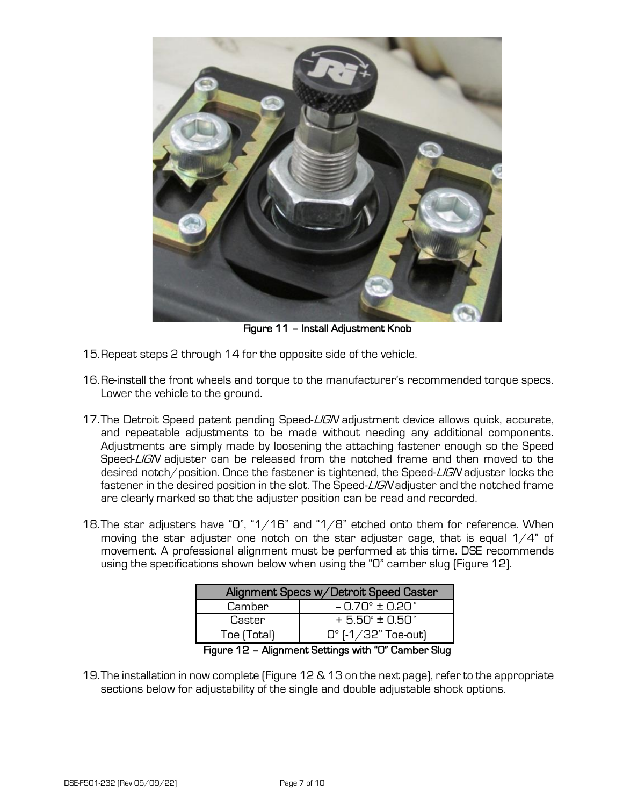

Figure 11 – Install Adjustment Knob

- 15.Repeat steps 2 through 14 for the opposite side of the vehicle.
- 16.Re-install the front wheels and torque to the manufacturer's recommended torque specs. Lower the vehicle to the ground.
- 17. The Detroit Speed patent pending Speed-LIGN adjustment device allows quick, accurate, and repeatable adjustments to be made without needing any additional components. Adjustments are simply made by loosening the attaching fastener enough so the Speed Speed-LIGN adjuster can be released from the notched frame and then moved to the desired notch/position. Once the fastener is tightened, the Speed-LIGN adjuster locks the fastener in the desired position in the slot. The Speed-LIGN adjuster and the notched frame are clearly marked so that the adjuster position can be read and recorded.
- 18. The star adjusters have "0", "1/16" and "1/8" etched onto them for reference. When moving the star adjuster one notch on the star adjuster cage, that is equal  $1/4$ " of movement. A professional alignment must be performed at this time. DSE recommends using the specifications shown below when using the "0" camber slug (Figure 12).

| Alignment Specs w/Detroit Speed Caster |                                  |  |
|----------------------------------------|----------------------------------|--|
| Camber                                 | $-0.70^{\circ} \pm 0.20^{\circ}$ |  |
| Caster                                 | $+5.50^{\circ} \pm 0.50^{\circ}$ |  |
| Toe (Total)                            | $0^{\circ}$ [-1/32" Toe-out]     |  |
|                                        |                                  |  |

Figure 12 – Alignment Settings with "0" Camber Slug

19.The installation in now complete (Figure 12 & 13 on the next page), refer to the appropriate sections below for adjustability of the single and double adjustable shock options.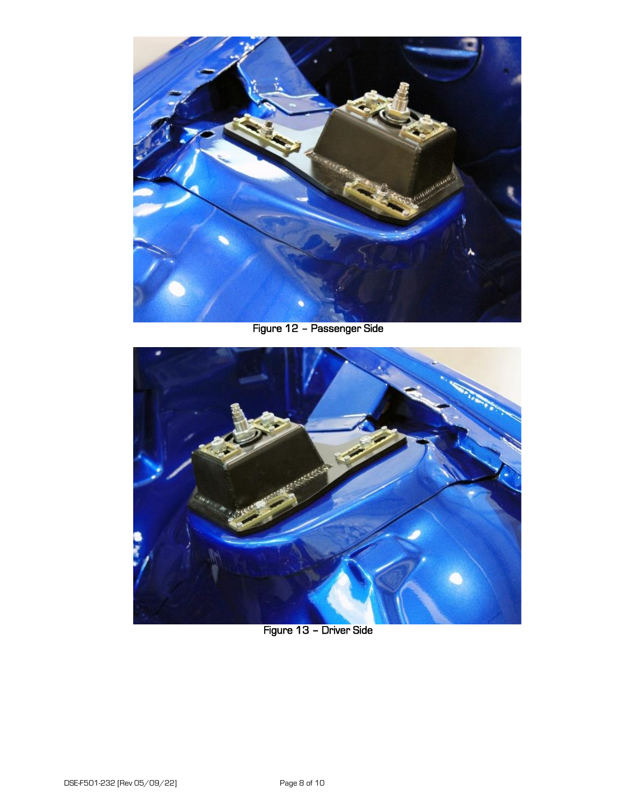

Figure 12 – Passenger Side



Figure 13 – Driver Side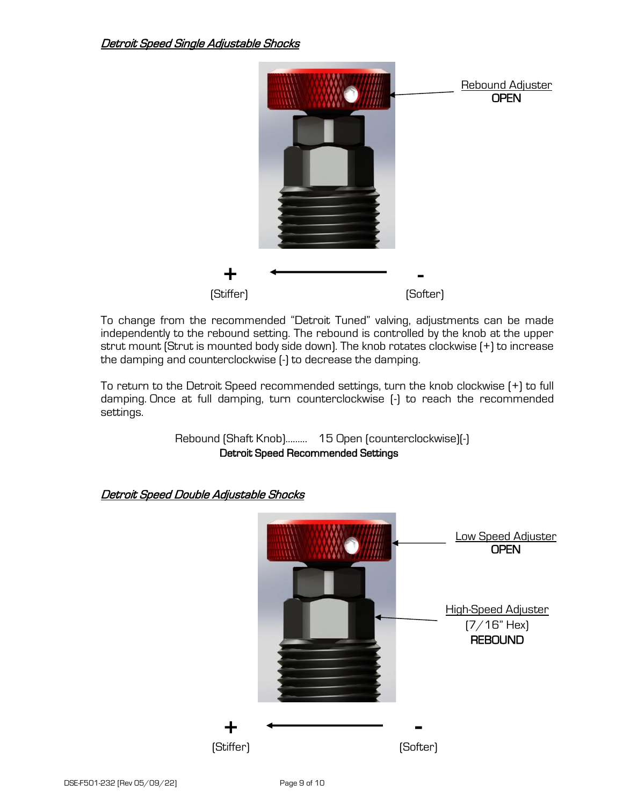

To change from the recommended "Detroit Tuned" valving, adjustments can be made independently to the rebound setting. The rebound is controlled by the knob at the upper strut mount (Strut is mounted body side down). The knob rotates clockwise (+) to increase the damping and counterclockwise (-) to decrease the damping.

To return to the Detroit Speed recommended settings, turn the knob clockwise (+) to full damping. Once at full damping, turn counterclockwise (-) to reach the recommended settings.

> Rebound (Shaft Knob)……… 15 Open (counterclockwise)(-) Detroit Speed Recommended Settings

## Detroit Speed Double Adjustable Shocks